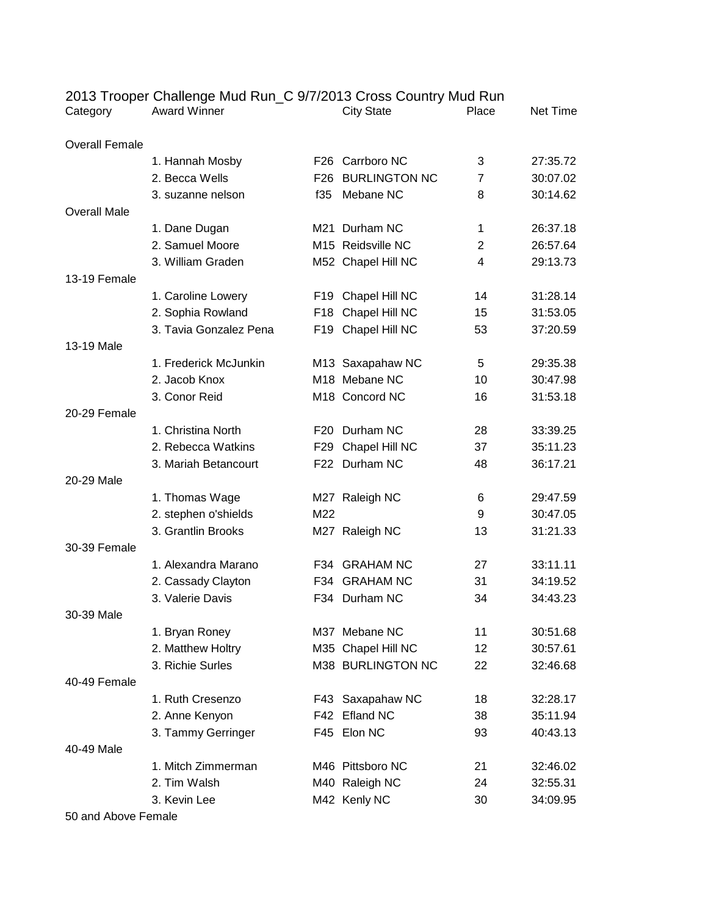| Category              | <b>Award Winner</b>    |     | <b>City State</b>    | Place | Net Time |
|-----------------------|------------------------|-----|----------------------|-------|----------|
| <b>Overall Female</b> |                        |     |                      |       |          |
|                       | 1. Hannah Mosby        |     | F26 Carrboro NC      | 3     | 27:35.72 |
|                       | 2. Becca Wells         | F26 | <b>BURLINGTON NC</b> | 7     | 30:07.02 |
|                       | 3. suzanne nelson      | f35 | Mebane NC            | 8     | 30:14.62 |
| <b>Overall Male</b>   |                        |     |                      |       |          |
|                       | 1. Dane Dugan          |     | M21 Durham NC        | 1     | 26:37.18 |
|                       | 2. Samuel Moore        |     | M15 Reidsville NC    | 2     | 26:57.64 |
|                       | 3. William Graden      |     | M52 Chapel Hill NC   | 4     | 29:13.73 |
| 13-19 Female          |                        |     |                      |       |          |
|                       | 1. Caroline Lowery     |     | F19 Chapel Hill NC   | 14    | 31:28.14 |
|                       | 2. Sophia Rowland      |     | F18 Chapel Hill NC   | 15    | 31:53.05 |
|                       | 3. Tavia Gonzalez Pena |     | F19 Chapel Hill NC   | 53    | 37:20.59 |
| 13-19 Male            |                        |     |                      |       |          |
|                       | 1. Frederick McJunkin  |     | M13 Saxapahaw NC     | 5     | 29:35.38 |
|                       | 2. Jacob Knox          |     | M18 Mebane NC        | 10    | 30:47.98 |
|                       | 3. Conor Reid          |     | M18 Concord NC       | 16    | 31:53.18 |
| 20-29 Female          |                        |     |                      |       |          |
|                       | 1. Christina North     |     | F20 Durham NC        | 28    | 33:39.25 |
|                       | 2. Rebecca Watkins     |     | F29 Chapel Hill NC   | 37    | 35:11.23 |
|                       | 3. Mariah Betancourt   |     | F22 Durham NC        | 48    | 36:17.21 |
| 20-29 Male            |                        |     |                      |       |          |
|                       | 1. Thomas Wage         |     | M27 Raleigh NC       | 6     | 29:47.59 |
|                       | 2. stephen o'shields   | M22 |                      | 9     | 30:47.05 |
|                       | 3. Grantlin Brooks     |     | M27 Raleigh NC       | 13    | 31:21.33 |
| 30-39 Female          |                        |     |                      |       |          |
|                       | 1. Alexandra Marano    |     | F34 GRAHAM NC        | 27    | 33:11.11 |
|                       | 2. Cassady Clayton     |     | F34 GRAHAM NC        | 31    | 34:19.52 |
|                       | 3. Valerie Davis       |     | F34 Durham NC        | 34    | 34:43.23 |
| 30-39 Male            |                        |     |                      |       |          |
|                       | 1. Bryan Roney         |     | M37 Mebane NC        | 11    | 30:51.68 |
|                       | 2. Matthew Holtry      |     | M35 Chapel Hill NC   | 12    | 30:57.61 |
|                       | 3. Richie Surles       |     | M38 BURLINGTON NC    | 22    | 32:46.68 |
| 40-49 Female          |                        |     |                      |       |          |
|                       | 1. Ruth Cresenzo       |     | F43 Saxapahaw NC     | 18    | 32:28.17 |
|                       | 2. Anne Kenyon         |     | F42 Efland NC        | 38    | 35:11.94 |
|                       | 3. Tammy Gerringer     |     | F45 Elon NC          | 93    | 40:43.13 |
| 40-49 Male            |                        |     |                      |       |          |
|                       | 1. Mitch Zimmerman     |     | M46 Pittsboro NC     | 21    | 32:46.02 |
|                       | 2. Tim Walsh           |     | M40 Raleigh NC       | 24    | 32:55.31 |
|                       | 3. Kevin Lee           |     | M42 Kenly NC         | 30    | 34:09.95 |

2013 Trooper Challenge Mud Run\_C 9/7/2013 Cross Country Mud Run

50 and Above Female